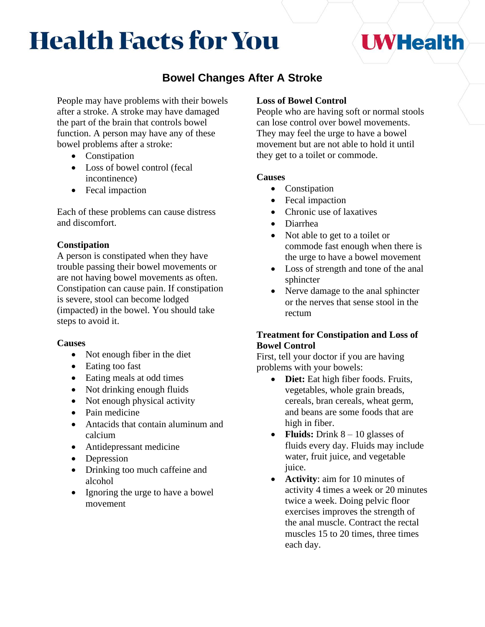# **Health Facts for You**

## **UWHealth**

### **Bowel Changes After A Stroke**

People may have problems with their bowels after a stroke. A stroke may have damaged the part of the brain that controls bowel function. A person may have any of these bowel problems after a stroke:

- Constipation
- Loss of bowel control (fecal incontinence)
- Fecal impaction

Each of these problems can cause distress and discomfort.

#### **Constipation**

A person is constipated when they have trouble passing their bowel movements or are not having bowel movements as often. Constipation can cause pain. If constipation is severe, stool can become lodged (impacted) in the bowel. You should take steps to avoid it.

#### **Causes**

- Not enough fiber in the diet
- Eating too fast
- Eating meals at odd times
- Not drinking enough fluids
- Not enough physical activity
- Pain medicine
- Antacids that contain aluminum and calcium
- Antidepressant medicine
- Depression
- Drinking too much caffeine and alcohol
- Ignoring the urge to have a bowel movement

#### **Loss of Bowel Control**

People who are having soft or normal stools can lose control over bowel movements. They may feel the urge to have a bowel movement but are not able to hold it until they get to a toilet or commode.

#### **Causes**

- Constipation
- Fecal impaction
- Chronic use of laxatives
- Diarrhea
- Not able to get to a toilet or commode fast enough when there is the urge to have a bowel movement
- Loss of strength and tone of the anal sphincter
- Nerve damage to the anal sphincter or the nerves that sense stool in the rectum

#### **Treatment for Constipation and Loss of Bowel Control**

First, tell your doctor if you are having problems with your bowels:

- **Diet:** Eat high fiber foods. Fruits, vegetables, whole grain breads, cereals, bran cereals, wheat germ, and beans are some foods that are high in fiber.
- **Fluids:** Drink 8 10 glasses of fluids every day. Fluids may include water, fruit juice, and vegetable juice.
- **Activity**: aim for 10 minutes of activity 4 times a week or 20 minutes twice a week. Doing pelvic floor exercises improves the strength of the anal muscle. Contract the rectal muscles 15 to 20 times, three times each day.